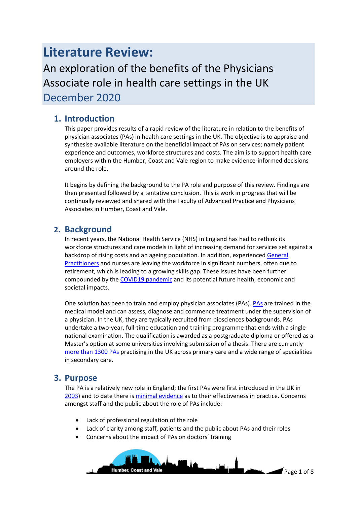# **Literature Review:**

An exploration of the benefits of the Physicians Associate role in health care settings in the UK December 2020

# **1. Introduction**

This paper provides results of a rapid review of the literature in relation to the benefits of physician associates (PAs) in health care settings in the UK. The objective is to appraise and synthesise available literature on the beneficial impact of PAs on services; namely patient experience and outcomes, workforce structures and costs. The aim is to support health care employers within the Humber, Coast and Vale region to make evidence-informed decisions around the role.

It begins by defining the background to the PA role and purpose of this review. Findings are then presented followed by a tentative conclusion. This is work in progress that will be continually reviewed and shared with the Faculty of Advanced Practice and Physicians Associates in Humber, Coast and Vale.

# **2. Background**

In recent years, the National Health Service (NHS) in England has had to rethink its workforce structures and care models in light of increasing demand for services set against a backdrop of rising costs and an ageing population. In addition, experience[d General](https://bjgp.org/content/68/672/310)  [Practitioners](https://bjgp.org/content/68/672/310) and nurses are leaving the workforce in significant numbers, often due to retirement, which is leading to a growing skills gap. These issues have been further compounded by th[e COVID19 pandemic](https://assets.publishing.service.gov.uk/government/uploads/system/uploads/attachment_data/file/939876/Analysis_of_the_health_economic_and_social_effects_of_COVID-19_and_the_approach_to_tiering_FINAL__SofS_.pdf) and its potential future health, economic and societal impacts.

One solution has been to train and employ physician associates (PAs)[. PAs](https://www.fparcp.co.uk/about-fpa/who-are-physician-associates) are trained in the medical model and can assess, diagnose and commence treatment under the supervision of a physician. In the UK, they are typically recruited from biosciences backgrounds. PAs undertake a two-year, full-time education and training programme that ends with a single national examination. The qualification is awarded as a postgraduate diploma or offered as a Master's option at some universities involving submission of a thesis. There are currently [more than 1300 PAs](https://www.fparcp.co.uk/about-fpa/fpa-census) practising in the UK across primary care and a wide range of specialities in secondary care.

# **3. Purpose**

The PA is a relatively new role in England; the first PAs were first introduced in the UK in [2003\)](http://citeseerx.ist.psu.edu/viewdoc/download?doi=10.1.1.443.8686&rep=rep1&type=pdf) and to date there is [minimal evidence](https://bmjopen.bmj.com/content/8/6/e019573) as to their effectiveness in practice. Concerns amongst staff and the public about the role of PAs include:

- Lack of professional regulation of the role
- Lack of clarity among staff, patients and the public about PAs and their roles
- Concerns about the impact of PAs on doctors' training

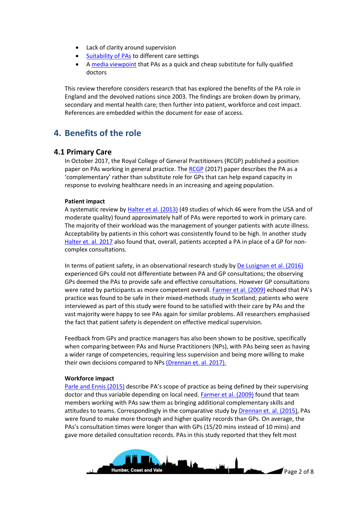- Lack of clarity around supervision
- [Suitability of PAs](https://bjgp.org/content/bjgp/67/664/e785.full.pdf) to different care settings
- A [media viewpoint](https://www.thesun.co.uk/living/3794522/cash-strapped-nhs-will-be-propped-up-cheap-doctors/) that PAs as a quick and cheap substitute for fully qualified doctors

This review therefore considers research that has explored the benefits of the PA role in England and the devolved nations since 2003. The findings are broken down by primary, secondary and mental health care; then further into patient, workforce and cost impact. References are embedded within the document for ease of access.

# **4. Benefits of the role**

### **4.1 Primary Care**

In October 2017, the Royal College of General Practitioners (RCGP) published a position paper on PAs working in general practice. The [RCGP](https://www.rcgp.org.uk/-/media/Files/Policy/A-Z-policy/2017/RCGP-position-paper-on-physician-associates-oct-2017.ashx?la=en) (2017) paper describes the PA as a 'complementary' rather than substitute role for GPs that can help expand capacity in response to evolving healthcare needs in an increasing and ageing population.

#### **Patient impact**

A systematic review by [Halter et al. \(2013\)](https://bmchealthservres.biomedcentral.com/articles/10.1186/1472-6963-13-223) (49 studies of which 46 were from the USA and of moderate quality) found approximately half of PAs were reported to work in primary care. The majority of their workload was the management of younger patients with acute illness. Acceptability by patients in this cohort was consistently found to be high. In another study [Halter et. al. 2017](http://openaccess.sgul.ac.uk/109110/1/Halter_et_al-2017-Health_Expectations.pdf) also found that, overall, patients accepted a PA in place of a GP for noncomplex consultations.

In terms of patient safety, in an observational research study b[y De Lusignan](https://journals.plos.org/plosone/article?id=10.1371/journal.pone.0160902) et al. (2016) experienced GPs could not differentiate between PA and GP consultations; the observing GPs deemed the PAs to provide safe and effective consultations. However GP consultations were rated by participants as more competent overall. [Farmer et al. \(2009\)](https://citeseerx.ist.psu.edu/viewdoc/download?doi=10.1.1.579.4248&rep=rep1&type=pdf) echoed that PA's practice was found to be safe in their mixed-methods study in Scotland; patients who were interviewed as part of this study were found to be satisfied with their care by PAs and the vast majority were happy to see PAs again for similar problems. All researchers emphasised the fact that patient safety is dependent on effective medical supervision.

Feedback from GPs and practice managers has also been shown to be positive, specifically when comparing between PAs and Nurse Practitioners (NPs), with PAs being seen as having a wider range of competencies, requiring less supervision and being more willing to make their own decisions compared to NP[s \(Drennan et. al. 2017\).](https://core.ac.uk/download/pdf/161815273.pdf)

#### **Workforce impact**

[Parle and Ennis \(2015\)](https://bjgp.org/content/65/634/224) describe PA's scope of practice as being defined by their supervising doctor and thus variable depending on local need[. Farmer et al. \(2009\)](https://citeseerx.ist.psu.edu/viewdoc/download?doi=10.1.1.579.4248&rep=rep1&type=pdf) found that team members working with PAs saw them as bringing additional complementary skills and attitudes to teams. Correspondingly in the comparative study by [Drennan et. al. \(2015\)](https://bjgp.org/content/bjgp/65/634/e344.full.pdf), PAs were found to make more thorough and higher quality records than GPs. On average, the PAs's consultation times were longer than with GPs (15/20 mins instead of 10 mins) and gave more detailed consultation records. PAs in this study reported that they felt most

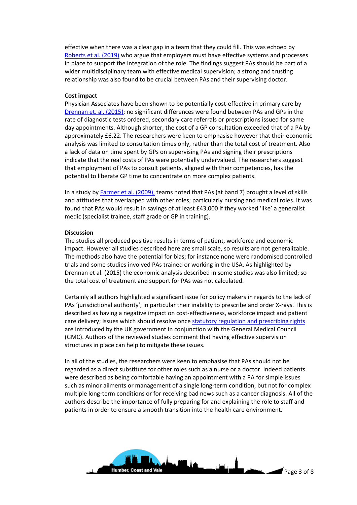effective when there was a clear gap in a team that they could fill. This was echoed by [Roberts et al. \(2019\)](https://www.ncbi.nlm.nih.gov/pmc/articles/PMC6520076/) who argue that employers must have effective systems and processes in place to support the integration of the role. The findings suggest PAs should be part of a wider multidisciplinary team with effective medical supervision; a strong and trusting relationship was also found to be crucial between PAs and their supervising doctor.

#### **Cost impact**

Physician Associates have been shown to be potentially cost-effective in primary care by [Drennan et. al. \(2015\)](https://bjgp.org/content/bjgp/65/634/e344.full.pdf); no significant differences were found between PAs and GPs in the rate of diagnostic tests ordered, secondary care referrals or prescriptions issued for same day appointments. Although shorter, the cost of a GP consultation exceeded that of a PA by approximately £6.22. The researchers were keen to emphasise however that their economic analysis was limited to consultation times only, rather than the total cost of treatment. Also a lack of data on time spent by GPs on supervising PAs and signing their prescriptions indicate that the real costs of PAs were potentially undervalued. The researchers suggest that employment of PAs to consult patients, aligned with their competencies, has the potential to liberate GP time to concentrate on more complex patients.

In a study by [Farmer et al. \(2009\),](https://citeseerx.ist.psu.edu/viewdoc/download?doi=10.1.1.579.4248&rep=rep1&type=pdf) teams noted that PAs (at band 7) brought a level of skills and attitudes that overlapped with other roles; particularly nursing and medical roles. It was found that PAs would result in savings of at least £43,000 if they worked 'like' a generalist medic (specialist trainee, staff grade or GP in training).

#### **Discussion**

The studies all produced positive results in terms of patient, workforce and economic impact. However all studies described here are small scale, so results are not generalizable. The methods also have the potential for bias; for instance none were randomised controlled trials and some studies involved PAs trained or working in the USA. As highlighted by Drennan et al. (2015) the economic analysis described in some studies was also limited; so the total cost of treatment and support for PAs was not calculated.

Certainly all authors highlighted a significant issue for policy makers in regards to the lack of PAs 'jurisdictional authority', in particular their inability to prescribe and order X-rays. This is described as having a negative impact on cost-effectiveness, workforce impact and patient care delivery; issues which should resolve onc[e statutory regulation and prescribing rights](https://www.rcgp.org.uk/-/media/Files/Policy/A-Z-policy/2017/RCGP-position-paper-on-physician-associates-oct-2017.ashx?la=en) are introduced by the UK government in conjunction with the General Medical Council (GMC). Authors of the reviewed studies comment that having effective supervision structures in place can help to mitigate these issues.

In all of the studies, the researchers were keen to emphasise that PAs should not be regarded as a direct substitute for other roles such as a nurse or a doctor. Indeed patients were described as being comfortable having an appointment with a PA for simple issues such as minor ailments or management of a single long-term condition, but not for complex multiple long-term conditions or for receiving bad news such as a cancer diagnosis. All of the authors describe the importance of fully preparing for and explaining the role to staff and patients in order to ensure a smooth transition into the health care environment.

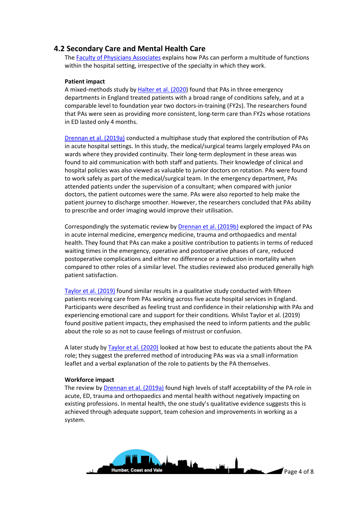# **4.2 Secondary Care and Mental Health Care**

The [Faculty of Physicians Associates](https://www.fparcp.co.uk/employers/guidance) explains how PAs can perform a multitude of functions within the hospital setting, irrespective of the specialty in which they work.

#### **Patient impact**

A mixed-methods study by [Halter et al. \(2020\)](https://bmjopen.bmj.com/content/bmjopen/10/9/e037557.full.pdf) found that PAs in three emergency departments in England treated patients with a broad range of conditions safely, and at a comparable level to foundation year two doctors-in-training (FY2s). The researchers found that PAs were seen as providing more consistent, long-term care than FY2s whose rotations in ED lasted only 4 months.

[Drennan et al. \(2019a\)](https://pubmed.ncbi.nlm.nih.gov/31162917/) conducted a multiphase study that explored the contribution of PAs in acute hospital settings. In this study, the medical/surgical teams largely employed PAs on wards where they provided continuity. Their long-term deployment in these areas was found to aid communication with both staff and patients. Their knowledge of clinical and hospital policies was also viewed as valuable to junior doctors on rotation. PAs were found to work safely as part of the medical/surgical team. In the emergency department, PAs attended patients under the supervision of a consultant; when compared with junior doctors, the patient outcomes were the same. PAs were also reported to help make the patient journey to discharge smoother. However, the researchers concluded that PAs ability to prescribe and order imaging would improve their utilisation.

Correspondingly the systematic review by [Drennan et al. \(2019b\)](https://bmjopen.bmj.com/content/8/6/e019573.full) explored the impact of PAs in acute internal medicine, emergency medicine, trauma and orthopaedics and mental health. They found that PAs can make a positive contribution to patients in terms of reduced waiting times in the emergency, operative and postoperative phases of care, reduced postoperative complications and either no difference or a reduction in mortality when compared to other roles of a similar level. The studies reviewed also produced generally high patient satisfaction.

[Taylor et al. \(2019\)](https://link.springer.com/article/10.1186/s12913-019-4410-9) found similar results in a qualitative study conducted with fifteen patients receiving care from PAs working across five acute hospital services in England. Participants were described as feeling trust and confidence in their relationship with PAs and experiencing emotional care and support for their conditions. Whilst Taylor et al. (2019) found positive patient impacts, they emphasised the need to inform patients and the public about the role so as not to cause feelings of mistrust or confusion.

A later study by **Taylor et al. (2020)** looked at how best to educate the patients about the PA role; they suggest the preferred method of introducing PAs was via a small information leaflet and a verbal explanation of the role to patients by the PA themselves.

#### **Workforce impact**

The review by Drennan [et al. \(2019a\)](https://bmjopen.bmj.com/content/8/6/e019573.full) found high levels of staff acceptability of the PA role in acute, ED, trauma and orthopaedics and mental health without negatively impacting on existing professions. In mental health, the one study's qualitative evidence suggests this is achieved through adequate support, team cohesion and improvements in working as a system.

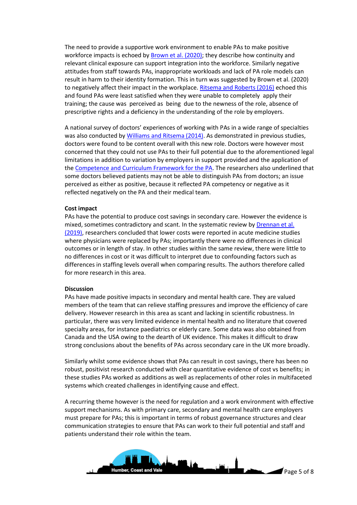The need to provide a supportive work environment to enable PAs to make positive workforce impacts is echoed by **Brown et al. (2020)**; they describe how continuity and relevant clinical exposure can support integration into the workforce. Similarly negative attitudes from staff towards PAs, inappropriate workloads and lack of PA role models can result in harm to their identity formation. This in turn was suggested by Brown et al. (2020) to negatively affect their impact in the workplace. [Ritsema and Roberts \(2016\)](https://pubmed.ncbi.nlm.nih.gov/27927813/) echoed this and found PAs were least satisfied when they were unable to completely apply their training; the cause was perceived as being due to the newness of the role, absence of prescriptive rights and a deficiency in the understanding of the role by employers.

A national survey of doctors' experiences of working with PAs in a wide range of specialties was also conducted b[y Williams and Ritsema \(2014\).](https://www.rcpjournals.org/content/clinmedicine/14/2/113) As demonstrated in previous studies, doctors were found to be content overall with this new role. Doctors were however most concerned that they could not use PAs to their full potential due to the aforementioned legal limitations in addition to variation by employers in support provided and the application of th[e Competence and Curriculum Framework for the PA.](https://www.fparcp.co.uk/employers/guidance) The researchers also underlined that some doctors believed patients may not be able to distinguish PAs from doctors; an issue perceived as either as positive, because it reflected PA competency or negative as it reflected negatively on the PA and their medical team.

#### **Cost impact**

PAs have the potential to produce cost savings in secondary care. However the evidence is mixed, sometimes contradictory and scant. In the systematic review b[y Drennan et al.](https://bmjopen.bmj.com/content/8/6/e019573.full)  [\(2019\),](https://bmjopen.bmj.com/content/8/6/e019573.full) researchers concluded that lower costs were reported in acute medicine studies where physicians were replaced by PAs; importantly there were no differences in clinical outcomes or in length of stay. In other studies within the same review, there were little to no differences in cost or it was difficult to interpret due to confounding factors such as differences in staffing levels overall when comparing results. The authors therefore called for more research in this area.

#### **Discussion**

PAs have made positive impacts in secondary and mental health care. They are valued members of the team that can relieve staffing pressures and improve the efficiency of care delivery. However research in this area as scant and lacking in scientific robustness. In particular, there was very limited evidence in mental health and no literature that covered specialty areas, for instance paediatrics or elderly care. Some data was also obtained from Canada and the USA owing to the dearth of UK evidence. This makes it difficult to draw strong conclusions about the benefits of PAs across secondary care in the UK more broadly.

Similarly whilst some evidence shows that PAs can result in cost savings, there has been no robust, positivist research conducted with clear quantitative evidence of cost vs benefits; in these studies PAs worked as additions as well as replacements of other roles in multifaceted systems which created challenges in identifying cause and effect.

A recurring theme however is the need for regulation and a work environment with effective support mechanisms. As with primary care, secondary and mental health care employers must prepare for PAs; this is important in terms of robust governance structures and clear communication strategies to ensure that PAs can work to their full potential and staff and patients understand their role within the team.

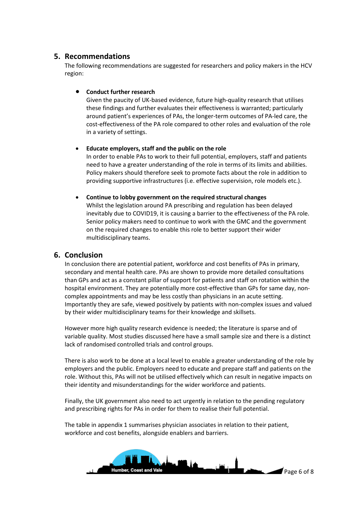# **5. Recommendations**

The following recommendations are suggested for researchers and policy makers in the HCV region:

### **•** Conduct further research

Given the paucity of UK-based evidence, future high-quality research that utilises these findings and further evaluates their effectiveness is warranted; particularly around patient's experiences of PAs, the longer-term outcomes of PA-led care, the cost-effectiveness of the PA role compared to other roles and evaluation of the role in a variety of settings.

#### **Educate employers, staff and the public on the role**

In order to enable PAs to work to their full potential, employers, staff and patients need to have a greater understanding of the role in terms of its limits and abilities. Policy makers should therefore seek to promote facts about the role in addition to providing supportive infrastructures (i.e. effective supervision, role models etc.).

### **Continue to lobby government on the required structural changes** Whilst the legislation around PA prescribing and regulation has been delayed inevitably due to COVID19, it is causing a barrier to the effectiveness of the PA role. Senior policy makers need to continue to work with the GMC and the government on the required changes to enable this role to better support their wider multidisciplinary teams.

# **6. Conclusion**

In conclusion there are potential patient, workforce and cost benefits of PAs in primary, secondary and mental health care. PAs are shown to provide more detailed consultations than GPs and act as a constant pillar of support for patients and staff on rotation within the hospital environment. They are potentially more cost-effective than GPs for same day, noncomplex appointments and may be less costly than physicians in an acute setting. Importantly they are safe, viewed positively by patients with non-complex issues and valued by their wider multidisciplinary teams for their knowledge and skillsets.

However more high quality research evidence is needed; the literature is sparse and of variable quality. Most studies discussed here have a small sample size and there is a distinct lack of randomised controlled trials and control groups.

There is also work to be done at a local level to enable a greater understanding of the role by employers and the public. Employers need to educate and prepare staff and patients on the role. Without this, PAs will not be utilised effectively which can result in negative impacts on their identity and misunderstandings for the wider workforce and patients.

Finally, the UK government also need to act urgently in relation to the pending regulatory and prescribing rights for PAs in order for them to realise their full potential.

The table in appendix 1 summarises physician associates in relation to their patient, workforce and cost benefits, alongside enablers and barriers.

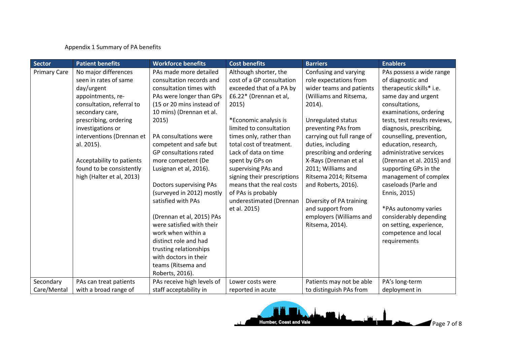### Appendix 1 Summary of PA benefits

| Sector              | <b>Patient benefits</b>   | <b>Workforce benefits</b>      | <b>Cost benefits</b>        | <b>Barriers</b>            | <b>Enablers</b>              |
|---------------------|---------------------------|--------------------------------|-----------------------------|----------------------------|------------------------------|
| <b>Primary Care</b> | No major differences      | PAs made more detailed         | Although shorter, the       | Confusing and varying      | PAs possess a wide range     |
|                     | seen in rates of same     | consultation records and       | cost of a GP consultation   | role expectations from     | of diagnostic and            |
|                     | day/urgent                | consultation times with        | exceeded that of a PA by    | wider teams and patients   | therapeutic skills* i.e.     |
|                     | appointments, re-         | PAs were longer than GPs       | £6.22* (Drennan et al,      | (Williams and Ritsema,     | same day and urgent          |
|                     | consultation, referral to | (15 or 20 mins instead of      | 2015)                       | $2014$ ).                  | consultations,               |
|                     | secondary care,           | 10 mins) (Drennan et al.       |                             |                            | examinations, ordering       |
|                     | prescribing, ordering     | 2015)                          | *Economic analysis is       | Unregulated status         | tests, test results reviews, |
|                     | investigations or         |                                | limited to consultation     | preventing PAs from        | diagnosis, prescribing,      |
|                     | interventions (Drennan et | PA consultations were          | times only, rather than     | carrying out full range of | counselling, prevention,     |
|                     | al. 2015).                | competent and safe but         | total cost of treatment.    | duties, including          | education, research,         |
|                     |                           | GP consultations rated         | Lack of data on time        | prescribing and ordering   | administrative services      |
|                     | Acceptability to patients | more competent (De             | spent by GPs on             | X-Rays (Drennan et al      | (Drennan et al. 2015) and    |
|                     | found to be consistently  | Lusignan et al, 2016).         | supervising PAs and         | 2011; Williams and         | supporting GPs in the        |
|                     | high (Halter et al, 2013) |                                | signing their prescriptions | Ritsema 2014; Ritsema      | management of complex        |
|                     |                           | <b>Doctors supervising PAs</b> | means that the real costs   | and Roberts, 2016).        | caseloads (Parle and         |
|                     |                           | (surveyed in 2012) mostly      | of PAs is probably          |                            | Ennis, 2015)                 |
|                     |                           | satisfied with PAs             | underestimated (Drennan     | Diversity of PA training   |                              |
|                     |                           |                                | et al. 2015)                | and support from           | *PAs autonomy varies         |
|                     |                           | (Drennan et al, 2015) PAs      |                             | employers (Williams and    | considerably depending       |
|                     |                           | were satisfied with their      |                             | Ritsema, 2014).            | on setting, experience,      |
|                     |                           | work when within a             |                             |                            | competence and local         |
|                     |                           | distinct role and had          |                             |                            | requirements                 |
|                     |                           | trusting relationships         |                             |                            |                              |
|                     |                           | with doctors in their          |                             |                            |                              |
|                     |                           | teams (Ritsema and             |                             |                            |                              |
|                     |                           | Roberts, 2016).                |                             |                            |                              |
| Secondary           | PAs can treat patients    | PAs receive high levels of     | Lower costs were            | Patients may not be able   | PA's long-term               |
| Care/Mental         | with a broad range of     | staff acceptability in         | reported in acute           | to distinguish PAs from    | deployment in                |